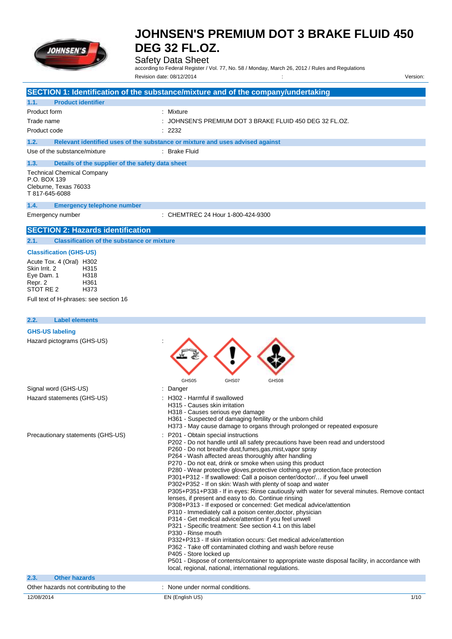

# Safety Data Sheet

according to Federal Register / Vol. 77, No. 58 / Monday, March 26, 2012 / Rules and Regulations

|                                                                                                                                                                                             |                                                   | Revision date: 08/12/2014                                                                                                                                                                                                                                                                                                                                                                                                                                                                                                                                                                                                                                                                                                                                                                                                                                                                                                                                                                                                                                                                                                                                                                                                                                                                                   | Version: |
|---------------------------------------------------------------------------------------------------------------------------------------------------------------------------------------------|---------------------------------------------------|-------------------------------------------------------------------------------------------------------------------------------------------------------------------------------------------------------------------------------------------------------------------------------------------------------------------------------------------------------------------------------------------------------------------------------------------------------------------------------------------------------------------------------------------------------------------------------------------------------------------------------------------------------------------------------------------------------------------------------------------------------------------------------------------------------------------------------------------------------------------------------------------------------------------------------------------------------------------------------------------------------------------------------------------------------------------------------------------------------------------------------------------------------------------------------------------------------------------------------------------------------------------------------------------------------------|----------|
|                                                                                                                                                                                             |                                                   | SECTION 1: Identification of the substance/mixture and of the company/undertaking                                                                                                                                                                                                                                                                                                                                                                                                                                                                                                                                                                                                                                                                                                                                                                                                                                                                                                                                                                                                                                                                                                                                                                                                                           |          |
| 1.1.<br><b>Product identifier</b>                                                                                                                                                           |                                                   |                                                                                                                                                                                                                                                                                                                                                                                                                                                                                                                                                                                                                                                                                                                                                                                                                                                                                                                                                                                                                                                                                                                                                                                                                                                                                                             |          |
| Product form                                                                                                                                                                                |                                                   | : Mixture                                                                                                                                                                                                                                                                                                                                                                                                                                                                                                                                                                                                                                                                                                                                                                                                                                                                                                                                                                                                                                                                                                                                                                                                                                                                                                   |          |
| Trade name                                                                                                                                                                                  |                                                   | JOHNSEN'S PREMIUM DOT 3 BRAKE FLUID 450 DEG 32 FL.OZ.                                                                                                                                                                                                                                                                                                                                                                                                                                                                                                                                                                                                                                                                                                                                                                                                                                                                                                                                                                                                                                                                                                                                                                                                                                                       |          |
| Product code                                                                                                                                                                                |                                                   | : 2232                                                                                                                                                                                                                                                                                                                                                                                                                                                                                                                                                                                                                                                                                                                                                                                                                                                                                                                                                                                                                                                                                                                                                                                                                                                                                                      |          |
| 1.2.                                                                                                                                                                                        |                                                   | Relevant identified uses of the substance or mixture and uses advised against                                                                                                                                                                                                                                                                                                                                                                                                                                                                                                                                                                                                                                                                                                                                                                                                                                                                                                                                                                                                                                                                                                                                                                                                                               |          |
| Use of the substance/mixture                                                                                                                                                                |                                                   | : Brake Fluid                                                                                                                                                                                                                                                                                                                                                                                                                                                                                                                                                                                                                                                                                                                                                                                                                                                                                                                                                                                                                                                                                                                                                                                                                                                                                               |          |
| 1.3.                                                                                                                                                                                        | Details of the supplier of the safety data sheet  |                                                                                                                                                                                                                                                                                                                                                                                                                                                                                                                                                                                                                                                                                                                                                                                                                                                                                                                                                                                                                                                                                                                                                                                                                                                                                                             |          |
| <b>Technical Chemical Company</b><br>P.O. BOX 139<br>Cleburne, Texas 76033<br>T 817-645-6088                                                                                                |                                                   |                                                                                                                                                                                                                                                                                                                                                                                                                                                                                                                                                                                                                                                                                                                                                                                                                                                                                                                                                                                                                                                                                                                                                                                                                                                                                                             |          |
| 1.4.                                                                                                                                                                                        | <b>Emergency telephone number</b>                 |                                                                                                                                                                                                                                                                                                                                                                                                                                                                                                                                                                                                                                                                                                                                                                                                                                                                                                                                                                                                                                                                                                                                                                                                                                                                                                             |          |
| Emergency number                                                                                                                                                                            |                                                   | : CHEMTREC 24 Hour 1-800-424-9300                                                                                                                                                                                                                                                                                                                                                                                                                                                                                                                                                                                                                                                                                                                                                                                                                                                                                                                                                                                                                                                                                                                                                                                                                                                                           |          |
| <b>SECTION 2: Hazards identification</b>                                                                                                                                                    |                                                   |                                                                                                                                                                                                                                                                                                                                                                                                                                                                                                                                                                                                                                                                                                                                                                                                                                                                                                                                                                                                                                                                                                                                                                                                                                                                                                             |          |
| 2.1.                                                                                                                                                                                        | <b>Classification of the substance or mixture</b> |                                                                                                                                                                                                                                                                                                                                                                                                                                                                                                                                                                                                                                                                                                                                                                                                                                                                                                                                                                                                                                                                                                                                                                                                                                                                                                             |          |
| <b>Classification (GHS-US)</b><br>Acute Tox. 4 (Oral) H302<br>Skin Irrit. 2<br>H315<br>Eye Dam. 1<br>H318<br>H361<br>Repr. 2<br>STOT RE 2<br>H373<br>Full text of H-phrases: see section 16 |                                                   |                                                                                                                                                                                                                                                                                                                                                                                                                                                                                                                                                                                                                                                                                                                                                                                                                                                                                                                                                                                                                                                                                                                                                                                                                                                                                                             |          |
| 2.2.<br><b>Label elements</b>                                                                                                                                                               |                                                   |                                                                                                                                                                                                                                                                                                                                                                                                                                                                                                                                                                                                                                                                                                                                                                                                                                                                                                                                                                                                                                                                                                                                                                                                                                                                                                             |          |
| <b>GHS-US labeling</b>                                                                                                                                                                      |                                                   |                                                                                                                                                                                                                                                                                                                                                                                                                                                                                                                                                                                                                                                                                                                                                                                                                                                                                                                                                                                                                                                                                                                                                                                                                                                                                                             |          |
| Hazard pictograms (GHS-US)                                                                                                                                                                  |                                                   | GHS05<br>GHS07<br>GHS08                                                                                                                                                                                                                                                                                                                                                                                                                                                                                                                                                                                                                                                                                                                                                                                                                                                                                                                                                                                                                                                                                                                                                                                                                                                                                     |          |
| Signal word (GHS-US)                                                                                                                                                                        |                                                   | : Danger                                                                                                                                                                                                                                                                                                                                                                                                                                                                                                                                                                                                                                                                                                                                                                                                                                                                                                                                                                                                                                                                                                                                                                                                                                                                                                    |          |
| Hazard statements (GHS-US)                                                                                                                                                                  |                                                   | H302 - Harmful if swallowed<br>H315 - Causes skin irritation<br>H318 - Causes serious eye damage<br>H361 - Suspected of damaging fertility or the unborn child<br>H373 - May cause damage to organs through prolonged or repeated exposure                                                                                                                                                                                                                                                                                                                                                                                                                                                                                                                                                                                                                                                                                                                                                                                                                                                                                                                                                                                                                                                                  |          |
| Precautionary statements (GHS-US)                                                                                                                                                           | ÷.                                                | P201 - Obtain special instructions<br>P202 - Do not handle until all safety precautions have been read and understood<br>P260 - Do not breathe dust, fumes, gas, mist, vapor spray<br>P264 - Wash affected areas thoroughly after handling<br>P270 - Do not eat, drink or smoke when using this product<br>P280 - Wear protective gloves, protective clothing, eye protection, face protection<br>P301+P312 - If swallowed: Call a poison center/doctor/ if you feel unwell<br>P302+P352 - If on skin: Wash with plenty of soap and water<br>P305+P351+P338 - If in eyes: Rinse cautiously with water for several minutes. Remove contact<br>lenses, if present and easy to do. Continue rinsing<br>P308+P313 - If exposed or concerned: Get medical advice/attention<br>P310 - Immediately call a poison center, doctor, physician<br>P314 - Get medical advice/attention if you feel unwell<br>P321 - Specific treatment: See section 4.1 on this label<br>P330 - Rinse mouth<br>P332+P313 - If skin irritation occurs: Get medical advice/attention<br>P362 - Take off contaminated clothing and wash before reuse<br>P405 - Store locked up<br>P501 - Dispose of contents/container to appropriate waste disposal facility, in accordance with<br>local, regional, national, international regulations. |          |
| <b>Other hazards</b><br>2.3.                                                                                                                                                                |                                                   |                                                                                                                                                                                                                                                                                                                                                                                                                                                                                                                                                                                                                                                                                                                                                                                                                                                                                                                                                                                                                                                                                                                                                                                                                                                                                                             |          |
| Other hazards not contributing to the                                                                                                                                                       |                                                   | : None under normal conditions.                                                                                                                                                                                                                                                                                                                                                                                                                                                                                                                                                                                                                                                                                                                                                                                                                                                                                                                                                                                                                                                                                                                                                                                                                                                                             |          |

# 12/08/2014 EN (English US) 1/10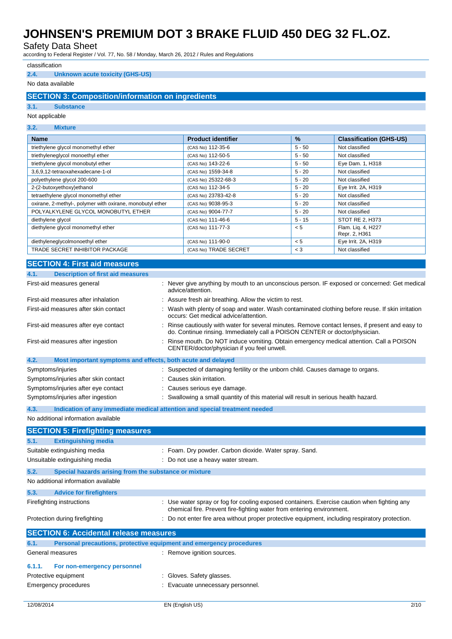Safety Data Sheet

according to Federal Register / Vol. 77, No. 58 / Monday, March 26, 2012 / Rules and Regulations

### classification

### **2.4. Unknown acute toxicity (GHS-US)**

### No data available

## **SECTION 3: Composition/information on ingredients**

#### **3.1. Substance**

#### Not applicable

| 3.2.<br><b>Mixture</b>                                    |                           |          |                                     |
|-----------------------------------------------------------|---------------------------|----------|-------------------------------------|
| <b>Name</b>                                               | <b>Product identifier</b> | $\%$     | <b>Classification (GHS-US)</b>      |
| triethylene glycol monomethyl ether                       | (CAS No) 112-35-6         | $5 - 50$ | Not classified                      |
| triethyleneglycol monoethyl ether                         | (CAS No) 112-50-5         | $5 - 50$ | Not classified                      |
| triethylene glycol monobutyl ether                        | (CAS No) 143-22-6         | $5 - 50$ | Eye Dam. 1, H318                    |
| 3,6,9,12-tetraoxahexadecane-1-ol                          | (CAS No) 1559-34-8        | $5 - 20$ | Not classified                      |
| polyethylene glycol 200-600                               | (CAS No) 25322-68-3       | $5 - 20$ | Not classified                      |
| 2-(2-butoxyethoxy)ethanol                                 | (CAS No) 112-34-5         | $5 - 20$ | Eye Irrit. 2A, H319                 |
| tetraethylene glycol monomethyl ether                     | (CAS No) 23783-42-8       | $5 - 20$ | Not classified                      |
| oxirane, 2-methyl-, polymer with oxirane, monobutyl ether | (CAS No) 9038-95-3        | $5 - 20$ | Not classified                      |
| POLYALKYLENE GLYCOL MONOBUTYL ETHER                       | (CAS No) 9004-77-7        | $5 - 20$ | Not classified                      |
| diethylene glycol                                         | (CAS No) 111-46-6         | $5 - 15$ | STOT RE 2, H373                     |
| diethylene glycol monomethyl ether                        | (CAS No) 111-77-3         | < 5      | Flam. Lig. 4, H227<br>Repr. 2, H361 |
| diethyleneglycolmonoethyl ether                           | (CAS No) 111-90-0         | < 5      | Eye Irrit. 2A, H319                 |
| TRADE SECRET INHIBITOR PACKAGE                            | (CAS No) TRADE SECRET     | $<$ 3    | Not classified                      |

## **SECTION 4: First aid measures**

| 4.1.<br><b>Description of first aid measures</b>                    |                                                                                                                                                                               |
|---------------------------------------------------------------------|-------------------------------------------------------------------------------------------------------------------------------------------------------------------------------|
| First-aid measures general                                          | Never give anything by mouth to an unconscious person. IF exposed or concerned: Get medical<br>advice/attention.                                                              |
| First-aid measures after inhalation                                 | Assure fresh air breathing. Allow the victim to rest.                                                                                                                         |
| First-aid measures after skin contact                               | Wash with plenty of soap and water. Wash contaminated clothing before reuse. If skin irritation<br>occurs: Get medical advice/attention.                                      |
| First-aid measures after eye contact                                | Rinse cautiously with water for several minutes. Remove contact lenses, if present and easy to<br>do. Continue rinsing. Immediately call a POISON CENTER or doctor/physician. |
| First-aid measures after ingestion                                  | Rinse mouth. Do NOT induce vomiting. Obtain emergency medical attention. Call a POISON<br>CENTER/doctor/physician if you feel unwell.                                         |
| 4.2.<br>Most important symptoms and effects, both acute and delayed |                                                                                                                                                                               |
| Symptoms/injuries                                                   | Suspected of damaging fertility or the unborn child. Causes damage to organs.                                                                                                 |
| Symptoms/injuries after skin contact                                | Causes skin irritation.                                                                                                                                                       |
| Symptoms/injuries after eye contact                                 | Causes serious eye damage.                                                                                                                                                    |
| Symptoms/injuries after ingestion                                   | Swallowing a small quantity of this material will result in serious health hazard.                                                                                            |
| 4.3.                                                                | Indication of any immediate medical attention and special treatment needed                                                                                                    |
| No additional information available                                 |                                                                                                                                                                               |
| <b>SECTION 5: Firefighting measures</b>                             |                                                                                                                                                                               |
| 5.1.<br><b>Extinguishing media</b>                                  |                                                                                                                                                                               |
| Suitable extinguishing media                                        | : Foam. Dry powder. Carbon dioxide. Water spray. Sand.                                                                                                                        |
| Unsuitable extinguishing media                                      | Do not use a heavy water stream.                                                                                                                                              |
|                                                                     |                                                                                                                                                                               |
| 5.2.<br>Special hazards arising from the substance or mixture       |                                                                                                                                                                               |
| No additional information available                                 |                                                                                                                                                                               |
| 5.3.<br><b>Advice for firefighters</b>                              |                                                                                                                                                                               |
| Firefighting instructions                                           | : Use water spray or fog for cooling exposed containers. Exercise caution when fighting any<br>chemical fire. Prevent fire-fighting water from entering environment.          |
| Protection during firefighting                                      | : Do not enter fire area without proper protective equipment, including respiratory protection.                                                                               |
| <b>SECTION 6: Accidental release measures</b>                       |                                                                                                                                                                               |
| 6.1.                                                                | Personal precautions, protective equipment and emergency procedures                                                                                                           |
| General measures                                                    | : Remove ignition sources.                                                                                                                                                    |
| 6.1.1.<br>For non-emergency personnel                               |                                                                                                                                                                               |
| Protective equipment                                                | : Gloves. Safety glasses.                                                                                                                                                     |
| Emergency procedures                                                | : Evacuate unnecessary personnel.                                                                                                                                             |
|                                                                     |                                                                                                                                                                               |
| 12/08/2014                                                          | 2/10<br>EN (English US)                                                                                                                                                       |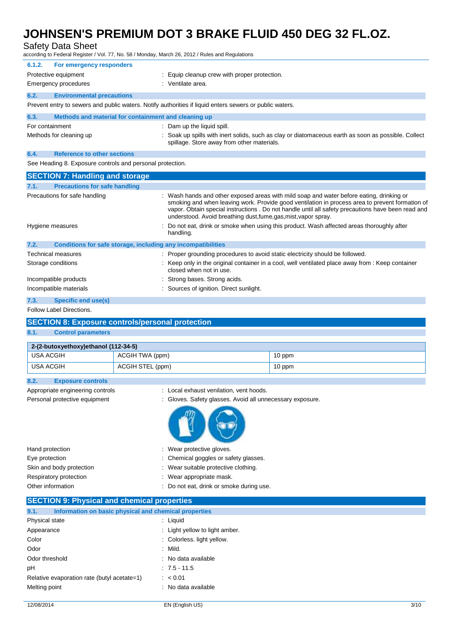Safety Data Sheet

according to Federal Register / Vol. 77, No. 58 / Monday, March 26, 2012 / Rules and Regulations

| 6.1.2.                                                                                                  | For emergency responders                                                                                        |  |                                                                                                                                                   |
|---------------------------------------------------------------------------------------------------------|-----------------------------------------------------------------------------------------------------------------|--|---------------------------------------------------------------------------------------------------------------------------------------------------|
|                                                                                                         | Protective equipment                                                                                            |  | Equip cleanup crew with proper protection.                                                                                                        |
|                                                                                                         | Emergency procedures                                                                                            |  | : Ventilate area.                                                                                                                                 |
| 6.2.                                                                                                    | <b>Environmental precautions</b>                                                                                |  |                                                                                                                                                   |
| Prevent entry to sewers and public waters. Notify authorities if liquid enters sewers or public waters. |                                                                                                                 |  |                                                                                                                                                   |
| 6.3.                                                                                                    | Methods and material for containment and cleaning up                                                            |  |                                                                                                                                                   |
| For containment                                                                                         |                                                                                                                 |  | : Dam up the liquid spill.                                                                                                                        |
|                                                                                                         | Methods for cleaning up                                                                                         |  | : Soak up spills with inert solids, such as clay or diatomaceous earth as soon as possible. Collect<br>spillage. Store away from other materials. |
| 6.4.                                                                                                    | <b>Reference to other sections</b>                                                                              |  |                                                                                                                                                   |
| - - - - - -                                                                                             | the contract of the contract of the contract of the contract of the contract of the contract of the contract of |  |                                                                                                                                                   |

See Heading 8. Exposure controls and personal protection.

| <b>SECTION 7: Handling and storage</b>                               |                                                                                                                                                                                                                                                                                                                                                                    |
|----------------------------------------------------------------------|--------------------------------------------------------------------------------------------------------------------------------------------------------------------------------------------------------------------------------------------------------------------------------------------------------------------------------------------------------------------|
| <b>Precautions for safe handling</b><br>7.1.                         |                                                                                                                                                                                                                                                                                                                                                                    |
| Precautions for safe handling                                        | Wash hands and other exposed areas with mild soap and water before eating, drinking or<br>smoking and when leaving work. Provide good ventilation in process area to prevent formation of<br>vapor. Obtain special instructions . Do not handle until all safety precautions have been read and<br>understood. Avoid breathing dust, fume, gas, mist, vapor spray. |
| Hygiene measures                                                     | : Do not eat, drink or smoke when using this product. Wash affected areas thoroughly after<br>handling.                                                                                                                                                                                                                                                            |
| 7.2.<br>Conditions for safe storage, including any incompatibilities |                                                                                                                                                                                                                                                                                                                                                                    |
| Technical measures                                                   | : Proper grounding procedures to avoid static electricity should be followed.                                                                                                                                                                                                                                                                                      |
| Storage conditions                                                   | : Keep only in the original container in a cool, well ventilated place away from : Keep container<br>closed when not in use.                                                                                                                                                                                                                                       |
| Incompatible products                                                | : Strong bases. Strong acids.                                                                                                                                                                                                                                                                                                                                      |
| Incompatible materials                                               | Sources of ignition. Direct sunlight.                                                                                                                                                                                                                                                                                                                              |
| Chasifie and usafal<br>72                                            |                                                                                                                                                                                                                                                                                                                                                                    |

### **7.3. Specific end use(s)**

# Follow Label Directions.

# **SECTION 8: Exposure controls/personal protection**

### **8.1. Control parameters**

**8.2. Exposure controls**

| 2-(2-butoxyethoxy)ethanol (112-34-5) |                  |        |
|--------------------------------------|------------------|--------|
| USA ACGIH                            | ACGIH TWA (ppm)  | 10 ppm |
| USA ACGIH                            | ACGIH STEL (ppm) | 10 ppm |

| Appropriate engineering controls<br>Personal protective equipment | : Local exhaust venilation, vent hoods.<br>: Gloves. Safety glasses. Avoid all unnecessary exposure. |
|-------------------------------------------------------------------|------------------------------------------------------------------------------------------------------|
|                                                                   |                                                                                                      |
| Hand protection                                                   | Wear protective gloves.<br>÷                                                                         |
| Eye protection                                                    | : Chemical goggles or safety glasses.                                                                |
| Skin and body protection                                          | : Wear suitable protective clothing.                                                                 |
| Respiratory protection                                            | Wear appropriate mask.                                                                               |

|      | <b>SECTION 9: Physical and chemical properties</b>    |
|------|-------------------------------------------------------|
|      |                                                       |
| 9.1. | Information on basic physical and chemical properties |

| ---<br><u>mionialion on basic physical and chemical properties</u> |                                |
|--------------------------------------------------------------------|--------------------------------|
| Physical state                                                     | : Liguid                       |
| Appearance                                                         | : Light yellow to light amber. |
| Color                                                              | : Colorless. light yellow.     |
| Odor                                                               | : Mild.                        |
| Odor threshold                                                     | : No data available            |
| рH                                                                 | $: 7.5 - 11.5$                 |
| Relative evaporation rate (butyl acetate=1)                        | : 80.01                        |
| Melting point                                                      | : No data available            |
|                                                                    |                                |

Other information : Do not eat, drink or smoke during use.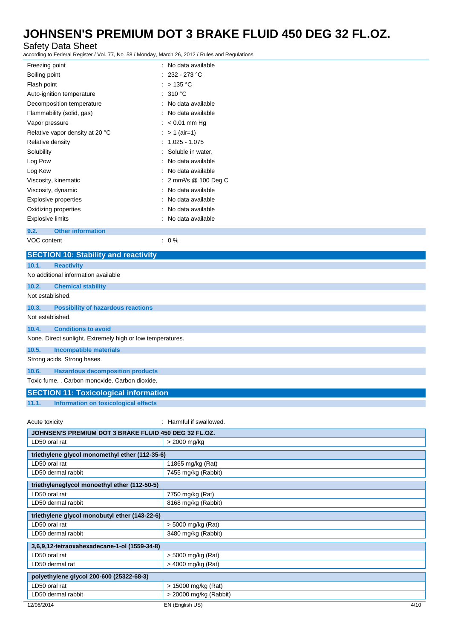# Safety Data Sheet

according to Federal Register / Vol. 77, No. 58 / Monday, March 26, 2012 / Rules and Regulations

| Freezing point                              | : No data available                |
|---------------------------------------------|------------------------------------|
| Boiling point                               | 232 - 273 °C                       |
| Flash point                                 | : $>135^{\circ}$ C                 |
| Auto-ignition temperature                   | : 310 °C                           |
| Decomposition temperature                   | : No data available                |
| Flammability (solid, gas)                   | No data available                  |
| Vapor pressure                              | $: < 0.01$ mm Hg                   |
| Relative vapor density at 20 °C             | : $> 1$ (air=1)                    |
| Relative density                            | $: 1.025 - 1.075$                  |
| Solubility                                  | Soluble in water.                  |
| Log Pow                                     | No data available                  |
| Log Kow                                     | No data available                  |
| Viscosity, kinematic                        | : 2 mm <sup>2</sup> /s @ 100 Deg C |
| Viscosity, dynamic                          | No data available                  |
| <b>Explosive properties</b>                 | No data available                  |
| Oxidizing properties                        | No data available                  |
| <b>Explosive limits</b>                     | : No data available                |
| <b>Other information</b><br>9.2.            |                                    |
| VOC content                                 | $: 0\%$                            |
| <b>SECTION 10: Stability and reactivity</b> |                                    |
| 10.1.<br><b>Reactivity</b>                  |                                    |
| No additional information available         |                                    |

**10.2. Chemical stability** Not established.

### **10.3. Possibility of hazardous reactions**

Not established.

# **10.4. Conditions to avoid**

None. Direct sunlight. Extremely high or low temperatures.

### **10.5. Incompatible materials**

Strong acids. Strong bases.

### **10.6. Hazardous decomposition products**

Toxic fume. . Carbon monoxide. Carbon dioxide.

### **SECTION 11: Toxicological information**

**11.1. Information on toxicological effects**

#### Acute toxicity **in the set of the set of the set of the set of the set of the set of the set of the set of the set of the set of the set of the set of the set of the set of the set of the set of the set of the set of the s**

| JOHNSEN'S PREMIUM DOT 3 BRAKE FLUID 450 DEG 32 FL.OZ. |                        |      |
|-------------------------------------------------------|------------------------|------|
| LD50 oral rat                                         | > 2000 mg/kg           |      |
|                                                       |                        |      |
| triethylene glycol monomethyl ether (112-35-6)        |                        |      |
| LD50 oral rat                                         | 11865 mg/kg (Rat)      |      |
| LD50 dermal rabbit                                    | 7455 mg/kg (Rabbit)    |      |
|                                                       |                        |      |
| triethyleneglycol monoethyl ether (112-50-5)          |                        |      |
| LD50 oral rat                                         | 7750 mg/kg (Rat)       |      |
| LD50 dermal rabbit                                    | 8168 mg/kg (Rabbit)    |      |
|                                                       |                        |      |
| triethylene glycol monobutyl ether (143-22-6)         |                        |      |
| LD50 oral rat                                         | $>$ 5000 mg/kg (Rat)   |      |
| LD50 dermal rabbit                                    | 3480 mg/kg (Rabbit)    |      |
|                                                       |                        |      |
| 3,6,9,12-tetraoxahexadecane-1-ol (1559-34-8)          |                        |      |
| LD50 oral rat                                         | $>$ 5000 mg/kg (Rat)   |      |
| LD50 dermal rat                                       | $>$ 4000 mg/kg (Rat)   |      |
|                                                       |                        |      |
| polyethylene glycol 200-600 (25322-68-3)              |                        |      |
| LD50 oral rat                                         | > 15000 mg/kg (Rat)    |      |
| LD50 dermal rabbit                                    | > 20000 mg/kg (Rabbit) |      |
| 12/08/2014                                            | EN (English US)        | 4/10 |
|                                                       |                        |      |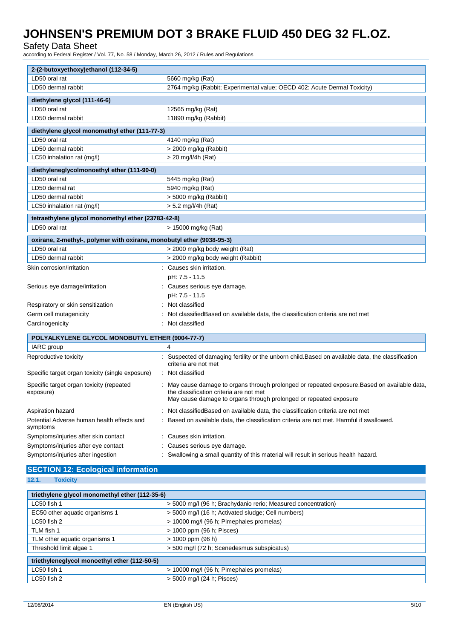### Safety Data Sheet

according to Federal Register / Vol. 77, No. 58 / Monday, March 26, 2012 / Rules and Regulations

| 2-(2-butoxyethoxy)ethanol (112-34-5)                                  |                                                                                                                                                                                                               |  |
|-----------------------------------------------------------------------|---------------------------------------------------------------------------------------------------------------------------------------------------------------------------------------------------------------|--|
| LD50 oral rat                                                         | 5660 mg/kg (Rat)                                                                                                                                                                                              |  |
| LD50 dermal rabbit                                                    | 2764 mg/kg (Rabbit; Experimental value; OECD 402: Acute Dermal Toxicity)                                                                                                                                      |  |
| diethylene glycol (111-46-6)                                          |                                                                                                                                                                                                               |  |
| LD50 oral rat                                                         | 12565 mg/kg (Rat)                                                                                                                                                                                             |  |
| LD50 dermal rabbit                                                    | 11890 mg/kg (Rabbit)                                                                                                                                                                                          |  |
| diethylene glycol monomethyl ether (111-77-3)                         |                                                                                                                                                                                                               |  |
| LD50 oral rat                                                         | 4140 mg/kg (Rat)                                                                                                                                                                                              |  |
| LD50 dermal rabbit                                                    | > 2000 mg/kg (Rabbit)                                                                                                                                                                                         |  |
| LC50 inhalation rat (mg/l)                                            | $>$ 20 mg/l/4h (Rat)                                                                                                                                                                                          |  |
| diethyleneglycolmonoethyl ether (111-90-0)                            |                                                                                                                                                                                                               |  |
| LD50 oral rat                                                         | 5445 mg/kg (Rat)                                                                                                                                                                                              |  |
| LD50 dermal rat                                                       | 5940 mg/kg (Rat)                                                                                                                                                                                              |  |
| LD50 dermal rabbit                                                    | $>$ 5000 mg/kg (Rabbit)                                                                                                                                                                                       |  |
| LC50 inhalation rat (mg/l)                                            | > 5.2 mg/l/4h (Rat)                                                                                                                                                                                           |  |
| tetraethylene glycol monomethyl ether (23783-42-8)                    |                                                                                                                                                                                                               |  |
| LD50 oral rat                                                         | > 15000 mg/kg (Rat)                                                                                                                                                                                           |  |
| oxirane, 2-methyl-, polymer with oxirane, monobutyl ether (9038-95-3) |                                                                                                                                                                                                               |  |
| LD50 oral rat                                                         | > 2000 mg/kg body weight (Rat)                                                                                                                                                                                |  |
| LD50 dermal rabbit                                                    | > 2000 mg/kg body weight (Rabbit)                                                                                                                                                                             |  |
| Skin corrosion/irritation                                             | : Causes skin irritation.                                                                                                                                                                                     |  |
|                                                                       | pH: 7.5 - 11.5                                                                                                                                                                                                |  |
| Serious eye damage/irritation                                         | : Causes serious eye damage.                                                                                                                                                                                  |  |
|                                                                       | pH: 7.5 - 11.5                                                                                                                                                                                                |  |
| Respiratory or skin sensitization                                     | Not classified                                                                                                                                                                                                |  |
| Germ cell mutagenicity                                                | Not classified Based on available data, the classification criteria are not met                                                                                                                               |  |
| Carcinogenicity                                                       | Not classified                                                                                                                                                                                                |  |
| POLYALKYLENE GLYCOL MONOBUTYL ETHER (9004-77-7)                       |                                                                                                                                                                                                               |  |
| IARC group                                                            | 4                                                                                                                                                                                                             |  |
| Reproductive toxicity                                                 | Suspected of damaging fertility or the unborn child. Based on available data, the classification                                                                                                              |  |
|                                                                       | criteria are not met                                                                                                                                                                                          |  |
| Specific target organ toxicity (single exposure)                      | : Not classified                                                                                                                                                                                              |  |
| Specific target organ toxicity (repeated<br>exposure)                 | : May cause damage to organs through prolonged or repeated exposure. Based on available data,<br>the classification criteria are not met<br>May cause damage to organs through prolonged or repeated exposure |  |
| Aspiration hazard                                                     | Not classified Based on available data, the classification criteria are not met                                                                                                                               |  |
| Potential Adverse human health effects and<br>symptoms                | Based on available data, the classification criteria are not met. Harmful if swallowed.                                                                                                                       |  |
| Symptoms/injuries after skin contact                                  | Causes skin irritation.                                                                                                                                                                                       |  |
| Symptoms/injuries after eye contact                                   | Causes serious eye damage.                                                                                                                                                                                    |  |
| Symptoms/injuries after ingestion                                     | : Swallowing a small quantity of this material will result in serious health hazard.                                                                                                                          |  |

### **SECTION 12: Ecological information 12.1. Toxicity**

| triethylene glycol monomethyl ether (112-35-6) |                                                               |  |
|------------------------------------------------|---------------------------------------------------------------|--|
| LC50 fish 1                                    | > 5000 mg/l (96 h; Brachydanio rerio; Measured concentration) |  |
| EC50 other aquatic organisms 1                 | > 5000 mg/l (16 h; Activated sludge; Cell numbers)            |  |
| $LC50$ fish 2                                  | > 10000 mg/l (96 h; Pimephales promelas)                      |  |
| TLM fish 1                                     | > 1000 ppm (96 h; Pisces)                                     |  |
| TLM other aquatic organisms 1                  | $> 1000$ ppm (96 h)                                           |  |
| Threshold limit algae 1                        | > 500 mg/l (72 h; Scenedesmus subspicatus)                    |  |
|                                                |                                                               |  |
| triethyleneglycol monoethyl ether (112-50-5)   |                                                               |  |
| LC50 fish 1                                    | > 10000 mg/l (96 h; Pimephales promelas)                      |  |
| LC50 fish 2                                    | > 5000 mg/l (24 h; Pisces)                                    |  |
|                                                |                                                               |  |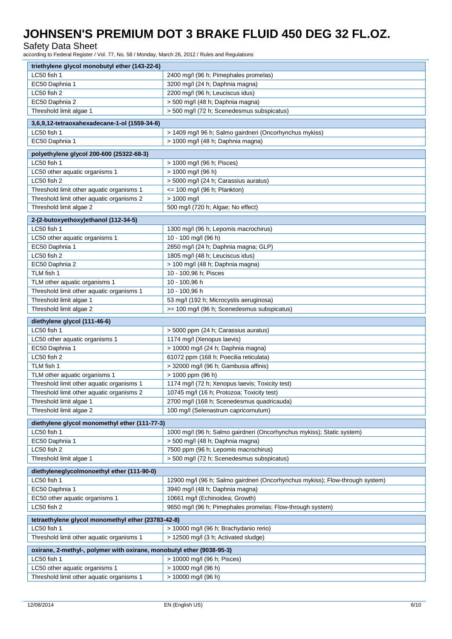### Safety Data Sheet

according to Federal Register / Vol. 77, No. 58 / Monday, March 26, 2012 / Rules and Regulations

| LC50 fish 1<br>2400 mg/l (96 h; Pimephales promelas)<br>EC50 Daphnia 1<br>3200 mg/l (24 h; Daphnia magna)<br>LC50 fish 2<br>2200 mg/l (96 h; Leuciscus idus)<br>EC50 Daphnia 2<br>> 500 mg/l (48 h; Daphnia magna)<br>Threshold limit algae 1<br>> 500 mg/l (72 h; Scenedesmus subspicatus)<br>3,6,9,12-tetraoxahexadecane-1-ol (1559-34-8)<br>LC50 fish 1<br>> 1409 mg/l 96 h; Salmo gairdneri (Oncorhynchus mykiss)<br>> 1000 mg/l (48 h; Daphnia magna)<br>EC50 Daphnia 1<br>polyethylene glycol 200-600 (25322-68-3)<br>LC50 fish 1<br>> 1000 mg/l (96 h; Pisces)<br>LC50 other aquatic organisms 1<br>> 1000 mg/l (96 h)<br>LC50 fish 2<br>> 5000 mg/l (24 h; Carassius auratus)<br>Threshold limit other aquatic organisms 1<br>$\epsilon$ = 100 mg/l (96 h; Plankton)<br>> 1000 mg/l<br>Threshold limit other aquatic organisms 2<br>Threshold limit algae 2<br>500 mg/l (720 h; Algae; No effect)<br>2-(2-butoxyethoxy)ethanol (112-34-5)<br>LC50 fish 1<br>1300 mg/l (96 h; Lepomis macrochirus)<br>LC50 other aquatic organisms 1<br>10 - 100 mg/l (96 h)<br>EC50 Daphnia 1<br>2850 mg/l (24 h; Daphnia magna; GLP)<br>LC50 fish 2<br>1805 mg/l (48 h; Leuciscus idus)<br>EC50 Daphnia 2<br>> 100 mg/l (48 h; Daphnia magna)<br>TLM fish 1<br>10 - 100,96 h; Pisces<br>TLM other aquatic organisms 1<br>10 - 100,96 h<br>Threshold limit other aquatic organisms 1<br>10 - 100,96 h<br>53 mg/l (192 h; Microcystis aeruginosa)<br>Threshold limit algae 1<br>Threshold limit algae 2<br>>= 100 mg/l (96 h; Scenedesmus subspicatus)<br>diethylene glycol (111-46-6)<br>LC50 fish 1<br>> 5000 ppm (24 h; Carassius auratus)<br>1174 mg/l (Xenopus laevis)<br>LC50 other aquatic organisms 1<br>EC50 Daphnia 1<br>> 10000 mg/l (24 h; Daphnia magna)<br>LC50 fish 2<br>61072 ppm (168 h; Poecilia reticulata)<br>TLM fish 1<br>> 32000 mg/l (96 h; Gambusia affinis)<br>$> 1000$ ppm (96 h)<br>TLM other aquatic organisms 1<br>Threshold limit other aquatic organisms 1<br>1174 mg/l (72 h; Xenopus laevis; Toxicity test)<br>Threshold limit other aquatic organisms 2<br>10745 mg/l (16 h; Protozoa; Toxicity test)<br>2700 mg/l (168 h; Scenedesmus quadricauda)<br>Threshold limit algae 1<br>Threshold limit algae 2<br>100 mg/l (Selenastrum capricornutum)<br>diethylene glycol monomethyl ether (111-77-3)<br>LC50 fish 1<br>1000 mg/l (96 h; Salmo gairdneri (Oncorhynchus mykiss); Static system)<br>EC50 Daphnia 1<br>> 500 mg/l (48 h; Daphnia magna) |  |  |
|-----------------------------------------------------------------------------------------------------------------------------------------------------------------------------------------------------------------------------------------------------------------------------------------------------------------------------------------------------------------------------------------------------------------------------------------------------------------------------------------------------------------------------------------------------------------------------------------------------------------------------------------------------------------------------------------------------------------------------------------------------------------------------------------------------------------------------------------------------------------------------------------------------------------------------------------------------------------------------------------------------------------------------------------------------------------------------------------------------------------------------------------------------------------------------------------------------------------------------------------------------------------------------------------------------------------------------------------------------------------------------------------------------------------------------------------------------------------------------------------------------------------------------------------------------------------------------------------------------------------------------------------------------------------------------------------------------------------------------------------------------------------------------------------------------------------------------------------------------------------------------------------------------------------------------------------------------------------------------------------------------------------------------------------------------------------------------------------------------------------------------------------------------------------------------------------------------------------------------------------------------------------------------------------------------------------------------------------------------------------------------------------------------------------------------------------------------------------------------|--|--|
|                                                                                                                                                                                                                                                                                                                                                                                                                                                                                                                                                                                                                                                                                                                                                                                                                                                                                                                                                                                                                                                                                                                                                                                                                                                                                                                                                                                                                                                                                                                                                                                                                                                                                                                                                                                                                                                                                                                                                                                                                                                                                                                                                                                                                                                                                                                                                                                                                                                                             |  |  |
|                                                                                                                                                                                                                                                                                                                                                                                                                                                                                                                                                                                                                                                                                                                                                                                                                                                                                                                                                                                                                                                                                                                                                                                                                                                                                                                                                                                                                                                                                                                                                                                                                                                                                                                                                                                                                                                                                                                                                                                                                                                                                                                                                                                                                                                                                                                                                                                                                                                                             |  |  |
|                                                                                                                                                                                                                                                                                                                                                                                                                                                                                                                                                                                                                                                                                                                                                                                                                                                                                                                                                                                                                                                                                                                                                                                                                                                                                                                                                                                                                                                                                                                                                                                                                                                                                                                                                                                                                                                                                                                                                                                                                                                                                                                                                                                                                                                                                                                                                                                                                                                                             |  |  |
|                                                                                                                                                                                                                                                                                                                                                                                                                                                                                                                                                                                                                                                                                                                                                                                                                                                                                                                                                                                                                                                                                                                                                                                                                                                                                                                                                                                                                                                                                                                                                                                                                                                                                                                                                                                                                                                                                                                                                                                                                                                                                                                                                                                                                                                                                                                                                                                                                                                                             |  |  |
|                                                                                                                                                                                                                                                                                                                                                                                                                                                                                                                                                                                                                                                                                                                                                                                                                                                                                                                                                                                                                                                                                                                                                                                                                                                                                                                                                                                                                                                                                                                                                                                                                                                                                                                                                                                                                                                                                                                                                                                                                                                                                                                                                                                                                                                                                                                                                                                                                                                                             |  |  |
|                                                                                                                                                                                                                                                                                                                                                                                                                                                                                                                                                                                                                                                                                                                                                                                                                                                                                                                                                                                                                                                                                                                                                                                                                                                                                                                                                                                                                                                                                                                                                                                                                                                                                                                                                                                                                                                                                                                                                                                                                                                                                                                                                                                                                                                                                                                                                                                                                                                                             |  |  |
|                                                                                                                                                                                                                                                                                                                                                                                                                                                                                                                                                                                                                                                                                                                                                                                                                                                                                                                                                                                                                                                                                                                                                                                                                                                                                                                                                                                                                                                                                                                                                                                                                                                                                                                                                                                                                                                                                                                                                                                                                                                                                                                                                                                                                                                                                                                                                                                                                                                                             |  |  |
|                                                                                                                                                                                                                                                                                                                                                                                                                                                                                                                                                                                                                                                                                                                                                                                                                                                                                                                                                                                                                                                                                                                                                                                                                                                                                                                                                                                                                                                                                                                                                                                                                                                                                                                                                                                                                                                                                                                                                                                                                                                                                                                                                                                                                                                                                                                                                                                                                                                                             |  |  |
|                                                                                                                                                                                                                                                                                                                                                                                                                                                                                                                                                                                                                                                                                                                                                                                                                                                                                                                                                                                                                                                                                                                                                                                                                                                                                                                                                                                                                                                                                                                                                                                                                                                                                                                                                                                                                                                                                                                                                                                                                                                                                                                                                                                                                                                                                                                                                                                                                                                                             |  |  |
|                                                                                                                                                                                                                                                                                                                                                                                                                                                                                                                                                                                                                                                                                                                                                                                                                                                                                                                                                                                                                                                                                                                                                                                                                                                                                                                                                                                                                                                                                                                                                                                                                                                                                                                                                                                                                                                                                                                                                                                                                                                                                                                                                                                                                                                                                                                                                                                                                                                                             |  |  |
|                                                                                                                                                                                                                                                                                                                                                                                                                                                                                                                                                                                                                                                                                                                                                                                                                                                                                                                                                                                                                                                                                                                                                                                                                                                                                                                                                                                                                                                                                                                                                                                                                                                                                                                                                                                                                                                                                                                                                                                                                                                                                                                                                                                                                                                                                                                                                                                                                                                                             |  |  |
|                                                                                                                                                                                                                                                                                                                                                                                                                                                                                                                                                                                                                                                                                                                                                                                                                                                                                                                                                                                                                                                                                                                                                                                                                                                                                                                                                                                                                                                                                                                                                                                                                                                                                                                                                                                                                                                                                                                                                                                                                                                                                                                                                                                                                                                                                                                                                                                                                                                                             |  |  |
|                                                                                                                                                                                                                                                                                                                                                                                                                                                                                                                                                                                                                                                                                                                                                                                                                                                                                                                                                                                                                                                                                                                                                                                                                                                                                                                                                                                                                                                                                                                                                                                                                                                                                                                                                                                                                                                                                                                                                                                                                                                                                                                                                                                                                                                                                                                                                                                                                                                                             |  |  |
|                                                                                                                                                                                                                                                                                                                                                                                                                                                                                                                                                                                                                                                                                                                                                                                                                                                                                                                                                                                                                                                                                                                                                                                                                                                                                                                                                                                                                                                                                                                                                                                                                                                                                                                                                                                                                                                                                                                                                                                                                                                                                                                                                                                                                                                                                                                                                                                                                                                                             |  |  |
|                                                                                                                                                                                                                                                                                                                                                                                                                                                                                                                                                                                                                                                                                                                                                                                                                                                                                                                                                                                                                                                                                                                                                                                                                                                                                                                                                                                                                                                                                                                                                                                                                                                                                                                                                                                                                                                                                                                                                                                                                                                                                                                                                                                                                                                                                                                                                                                                                                                                             |  |  |
|                                                                                                                                                                                                                                                                                                                                                                                                                                                                                                                                                                                                                                                                                                                                                                                                                                                                                                                                                                                                                                                                                                                                                                                                                                                                                                                                                                                                                                                                                                                                                                                                                                                                                                                                                                                                                                                                                                                                                                                                                                                                                                                                                                                                                                                                                                                                                                                                                                                                             |  |  |
|                                                                                                                                                                                                                                                                                                                                                                                                                                                                                                                                                                                                                                                                                                                                                                                                                                                                                                                                                                                                                                                                                                                                                                                                                                                                                                                                                                                                                                                                                                                                                                                                                                                                                                                                                                                                                                                                                                                                                                                                                                                                                                                                                                                                                                                                                                                                                                                                                                                                             |  |  |
|                                                                                                                                                                                                                                                                                                                                                                                                                                                                                                                                                                                                                                                                                                                                                                                                                                                                                                                                                                                                                                                                                                                                                                                                                                                                                                                                                                                                                                                                                                                                                                                                                                                                                                                                                                                                                                                                                                                                                                                                                                                                                                                                                                                                                                                                                                                                                                                                                                                                             |  |  |
|                                                                                                                                                                                                                                                                                                                                                                                                                                                                                                                                                                                                                                                                                                                                                                                                                                                                                                                                                                                                                                                                                                                                                                                                                                                                                                                                                                                                                                                                                                                                                                                                                                                                                                                                                                                                                                                                                                                                                                                                                                                                                                                                                                                                                                                                                                                                                                                                                                                                             |  |  |
|                                                                                                                                                                                                                                                                                                                                                                                                                                                                                                                                                                                                                                                                                                                                                                                                                                                                                                                                                                                                                                                                                                                                                                                                                                                                                                                                                                                                                                                                                                                                                                                                                                                                                                                                                                                                                                                                                                                                                                                                                                                                                                                                                                                                                                                                                                                                                                                                                                                                             |  |  |
|                                                                                                                                                                                                                                                                                                                                                                                                                                                                                                                                                                                                                                                                                                                                                                                                                                                                                                                                                                                                                                                                                                                                                                                                                                                                                                                                                                                                                                                                                                                                                                                                                                                                                                                                                                                                                                                                                                                                                                                                                                                                                                                                                                                                                                                                                                                                                                                                                                                                             |  |  |
|                                                                                                                                                                                                                                                                                                                                                                                                                                                                                                                                                                                                                                                                                                                                                                                                                                                                                                                                                                                                                                                                                                                                                                                                                                                                                                                                                                                                                                                                                                                                                                                                                                                                                                                                                                                                                                                                                                                                                                                                                                                                                                                                                                                                                                                                                                                                                                                                                                                                             |  |  |
|                                                                                                                                                                                                                                                                                                                                                                                                                                                                                                                                                                                                                                                                                                                                                                                                                                                                                                                                                                                                                                                                                                                                                                                                                                                                                                                                                                                                                                                                                                                                                                                                                                                                                                                                                                                                                                                                                                                                                                                                                                                                                                                                                                                                                                                                                                                                                                                                                                                                             |  |  |
|                                                                                                                                                                                                                                                                                                                                                                                                                                                                                                                                                                                                                                                                                                                                                                                                                                                                                                                                                                                                                                                                                                                                                                                                                                                                                                                                                                                                                                                                                                                                                                                                                                                                                                                                                                                                                                                                                                                                                                                                                                                                                                                                                                                                                                                                                                                                                                                                                                                                             |  |  |
|                                                                                                                                                                                                                                                                                                                                                                                                                                                                                                                                                                                                                                                                                                                                                                                                                                                                                                                                                                                                                                                                                                                                                                                                                                                                                                                                                                                                                                                                                                                                                                                                                                                                                                                                                                                                                                                                                                                                                                                                                                                                                                                                                                                                                                                                                                                                                                                                                                                                             |  |  |
|                                                                                                                                                                                                                                                                                                                                                                                                                                                                                                                                                                                                                                                                                                                                                                                                                                                                                                                                                                                                                                                                                                                                                                                                                                                                                                                                                                                                                                                                                                                                                                                                                                                                                                                                                                                                                                                                                                                                                                                                                                                                                                                                                                                                                                                                                                                                                                                                                                                                             |  |  |
|                                                                                                                                                                                                                                                                                                                                                                                                                                                                                                                                                                                                                                                                                                                                                                                                                                                                                                                                                                                                                                                                                                                                                                                                                                                                                                                                                                                                                                                                                                                                                                                                                                                                                                                                                                                                                                                                                                                                                                                                                                                                                                                                                                                                                                                                                                                                                                                                                                                                             |  |  |
|                                                                                                                                                                                                                                                                                                                                                                                                                                                                                                                                                                                                                                                                                                                                                                                                                                                                                                                                                                                                                                                                                                                                                                                                                                                                                                                                                                                                                                                                                                                                                                                                                                                                                                                                                                                                                                                                                                                                                                                                                                                                                                                                                                                                                                                                                                                                                                                                                                                                             |  |  |
|                                                                                                                                                                                                                                                                                                                                                                                                                                                                                                                                                                                                                                                                                                                                                                                                                                                                                                                                                                                                                                                                                                                                                                                                                                                                                                                                                                                                                                                                                                                                                                                                                                                                                                                                                                                                                                                                                                                                                                                                                                                                                                                                                                                                                                                                                                                                                                                                                                                                             |  |  |
|                                                                                                                                                                                                                                                                                                                                                                                                                                                                                                                                                                                                                                                                                                                                                                                                                                                                                                                                                                                                                                                                                                                                                                                                                                                                                                                                                                                                                                                                                                                                                                                                                                                                                                                                                                                                                                                                                                                                                                                                                                                                                                                                                                                                                                                                                                                                                                                                                                                                             |  |  |
|                                                                                                                                                                                                                                                                                                                                                                                                                                                                                                                                                                                                                                                                                                                                                                                                                                                                                                                                                                                                                                                                                                                                                                                                                                                                                                                                                                                                                                                                                                                                                                                                                                                                                                                                                                                                                                                                                                                                                                                                                                                                                                                                                                                                                                                                                                                                                                                                                                                                             |  |  |
|                                                                                                                                                                                                                                                                                                                                                                                                                                                                                                                                                                                                                                                                                                                                                                                                                                                                                                                                                                                                                                                                                                                                                                                                                                                                                                                                                                                                                                                                                                                                                                                                                                                                                                                                                                                                                                                                                                                                                                                                                                                                                                                                                                                                                                                                                                                                                                                                                                                                             |  |  |
|                                                                                                                                                                                                                                                                                                                                                                                                                                                                                                                                                                                                                                                                                                                                                                                                                                                                                                                                                                                                                                                                                                                                                                                                                                                                                                                                                                                                                                                                                                                                                                                                                                                                                                                                                                                                                                                                                                                                                                                                                                                                                                                                                                                                                                                                                                                                                                                                                                                                             |  |  |
|                                                                                                                                                                                                                                                                                                                                                                                                                                                                                                                                                                                                                                                                                                                                                                                                                                                                                                                                                                                                                                                                                                                                                                                                                                                                                                                                                                                                                                                                                                                                                                                                                                                                                                                                                                                                                                                                                                                                                                                                                                                                                                                                                                                                                                                                                                                                                                                                                                                                             |  |  |
|                                                                                                                                                                                                                                                                                                                                                                                                                                                                                                                                                                                                                                                                                                                                                                                                                                                                                                                                                                                                                                                                                                                                                                                                                                                                                                                                                                                                                                                                                                                                                                                                                                                                                                                                                                                                                                                                                                                                                                                                                                                                                                                                                                                                                                                                                                                                                                                                                                                                             |  |  |
|                                                                                                                                                                                                                                                                                                                                                                                                                                                                                                                                                                                                                                                                                                                                                                                                                                                                                                                                                                                                                                                                                                                                                                                                                                                                                                                                                                                                                                                                                                                                                                                                                                                                                                                                                                                                                                                                                                                                                                                                                                                                                                                                                                                                                                                                                                                                                                                                                                                                             |  |  |
|                                                                                                                                                                                                                                                                                                                                                                                                                                                                                                                                                                                                                                                                                                                                                                                                                                                                                                                                                                                                                                                                                                                                                                                                                                                                                                                                                                                                                                                                                                                                                                                                                                                                                                                                                                                                                                                                                                                                                                                                                                                                                                                                                                                                                                                                                                                                                                                                                                                                             |  |  |
|                                                                                                                                                                                                                                                                                                                                                                                                                                                                                                                                                                                                                                                                                                                                                                                                                                                                                                                                                                                                                                                                                                                                                                                                                                                                                                                                                                                                                                                                                                                                                                                                                                                                                                                                                                                                                                                                                                                                                                                                                                                                                                                                                                                                                                                                                                                                                                                                                                                                             |  |  |
|                                                                                                                                                                                                                                                                                                                                                                                                                                                                                                                                                                                                                                                                                                                                                                                                                                                                                                                                                                                                                                                                                                                                                                                                                                                                                                                                                                                                                                                                                                                                                                                                                                                                                                                                                                                                                                                                                                                                                                                                                                                                                                                                                                                                                                                                                                                                                                                                                                                                             |  |  |
|                                                                                                                                                                                                                                                                                                                                                                                                                                                                                                                                                                                                                                                                                                                                                                                                                                                                                                                                                                                                                                                                                                                                                                                                                                                                                                                                                                                                                                                                                                                                                                                                                                                                                                                                                                                                                                                                                                                                                                                                                                                                                                                                                                                                                                                                                                                                                                                                                                                                             |  |  |
|                                                                                                                                                                                                                                                                                                                                                                                                                                                                                                                                                                                                                                                                                                                                                                                                                                                                                                                                                                                                                                                                                                                                                                                                                                                                                                                                                                                                                                                                                                                                                                                                                                                                                                                                                                                                                                                                                                                                                                                                                                                                                                                                                                                                                                                                                                                                                                                                                                                                             |  |  |
|                                                                                                                                                                                                                                                                                                                                                                                                                                                                                                                                                                                                                                                                                                                                                                                                                                                                                                                                                                                                                                                                                                                                                                                                                                                                                                                                                                                                                                                                                                                                                                                                                                                                                                                                                                                                                                                                                                                                                                                                                                                                                                                                                                                                                                                                                                                                                                                                                                                                             |  |  |
| LC50 fish 2<br>7500 ppm (96 h; Lepomis macrochirus)                                                                                                                                                                                                                                                                                                                                                                                                                                                                                                                                                                                                                                                                                                                                                                                                                                                                                                                                                                                                                                                                                                                                                                                                                                                                                                                                                                                                                                                                                                                                                                                                                                                                                                                                                                                                                                                                                                                                                                                                                                                                                                                                                                                                                                                                                                                                                                                                                         |  |  |
| Threshold limit algae 1<br>> 500 mg/l (72 h; Scenedesmus subspicatus)                                                                                                                                                                                                                                                                                                                                                                                                                                                                                                                                                                                                                                                                                                                                                                                                                                                                                                                                                                                                                                                                                                                                                                                                                                                                                                                                                                                                                                                                                                                                                                                                                                                                                                                                                                                                                                                                                                                                                                                                                                                                                                                                                                                                                                                                                                                                                                                                       |  |  |
| diethyleneglycolmonoethyl ether (111-90-0)                                                                                                                                                                                                                                                                                                                                                                                                                                                                                                                                                                                                                                                                                                                                                                                                                                                                                                                                                                                                                                                                                                                                                                                                                                                                                                                                                                                                                                                                                                                                                                                                                                                                                                                                                                                                                                                                                                                                                                                                                                                                                                                                                                                                                                                                                                                                                                                                                                  |  |  |
| LC50 fish 1<br>12900 mg/l (96 h; Salmo gairdneri (Oncorhynchus mykiss); Flow-through system)                                                                                                                                                                                                                                                                                                                                                                                                                                                                                                                                                                                                                                                                                                                                                                                                                                                                                                                                                                                                                                                                                                                                                                                                                                                                                                                                                                                                                                                                                                                                                                                                                                                                                                                                                                                                                                                                                                                                                                                                                                                                                                                                                                                                                                                                                                                                                                                |  |  |
| EC50 Daphnia 1<br>3940 mg/l (48 h; Daphnia magna)                                                                                                                                                                                                                                                                                                                                                                                                                                                                                                                                                                                                                                                                                                                                                                                                                                                                                                                                                                                                                                                                                                                                                                                                                                                                                                                                                                                                                                                                                                                                                                                                                                                                                                                                                                                                                                                                                                                                                                                                                                                                                                                                                                                                                                                                                                                                                                                                                           |  |  |
| 10661 mg/l (Echinoidea; Growth)<br>EC50 other aquatic organisms 1                                                                                                                                                                                                                                                                                                                                                                                                                                                                                                                                                                                                                                                                                                                                                                                                                                                                                                                                                                                                                                                                                                                                                                                                                                                                                                                                                                                                                                                                                                                                                                                                                                                                                                                                                                                                                                                                                                                                                                                                                                                                                                                                                                                                                                                                                                                                                                                                           |  |  |
| LC50 fish 2<br>9650 mg/l (96 h; Pimephales promelas; Flow-through system)                                                                                                                                                                                                                                                                                                                                                                                                                                                                                                                                                                                                                                                                                                                                                                                                                                                                                                                                                                                                                                                                                                                                                                                                                                                                                                                                                                                                                                                                                                                                                                                                                                                                                                                                                                                                                                                                                                                                                                                                                                                                                                                                                                                                                                                                                                                                                                                                   |  |  |
| tetraethylene glycol monomethyl ether (23783-42-8)                                                                                                                                                                                                                                                                                                                                                                                                                                                                                                                                                                                                                                                                                                                                                                                                                                                                                                                                                                                                                                                                                                                                                                                                                                                                                                                                                                                                                                                                                                                                                                                                                                                                                                                                                                                                                                                                                                                                                                                                                                                                                                                                                                                                                                                                                                                                                                                                                          |  |  |
| LC50 fish 1<br>> 10000 mg/l (96 h; Brachydanio rerio)                                                                                                                                                                                                                                                                                                                                                                                                                                                                                                                                                                                                                                                                                                                                                                                                                                                                                                                                                                                                                                                                                                                                                                                                                                                                                                                                                                                                                                                                                                                                                                                                                                                                                                                                                                                                                                                                                                                                                                                                                                                                                                                                                                                                                                                                                                                                                                                                                       |  |  |
| Threshold limit other aquatic organisms 1<br>> 12500 mg/l (3 h; Activated sludge)                                                                                                                                                                                                                                                                                                                                                                                                                                                                                                                                                                                                                                                                                                                                                                                                                                                                                                                                                                                                                                                                                                                                                                                                                                                                                                                                                                                                                                                                                                                                                                                                                                                                                                                                                                                                                                                                                                                                                                                                                                                                                                                                                                                                                                                                                                                                                                                           |  |  |
|                                                                                                                                                                                                                                                                                                                                                                                                                                                                                                                                                                                                                                                                                                                                                                                                                                                                                                                                                                                                                                                                                                                                                                                                                                                                                                                                                                                                                                                                                                                                                                                                                                                                                                                                                                                                                                                                                                                                                                                                                                                                                                                                                                                                                                                                                                                                                                                                                                                                             |  |  |
| oxirane, 2-methyl-, polymer with oxirane, monobutyl ether (9038-95-3)                                                                                                                                                                                                                                                                                                                                                                                                                                                                                                                                                                                                                                                                                                                                                                                                                                                                                                                                                                                                                                                                                                                                                                                                                                                                                                                                                                                                                                                                                                                                                                                                                                                                                                                                                                                                                                                                                                                                                                                                                                                                                                                                                                                                                                                                                                                                                                                                       |  |  |
|                                                                                                                                                                                                                                                                                                                                                                                                                                                                                                                                                                                                                                                                                                                                                                                                                                                                                                                                                                                                                                                                                                                                                                                                                                                                                                                                                                                                                                                                                                                                                                                                                                                                                                                                                                                                                                                                                                                                                                                                                                                                                                                                                                                                                                                                                                                                                                                                                                                                             |  |  |
| LC50 fish 1<br>> 10000 mg/l (96 h; Pisces)                                                                                                                                                                                                                                                                                                                                                                                                                                                                                                                                                                                                                                                                                                                                                                                                                                                                                                                                                                                                                                                                                                                                                                                                                                                                                                                                                                                                                                                                                                                                                                                                                                                                                                                                                                                                                                                                                                                                                                                                                                                                                                                                                                                                                                                                                                                                                                                                                                  |  |  |
| LC50 other aquatic organisms 1<br>> 10000 mg/l (96 h)<br>Threshold limit other aquatic organisms 1<br>> 10000 mg/l (96 h)                                                                                                                                                                                                                                                                                                                                                                                                                                                                                                                                                                                                                                                                                                                                                                                                                                                                                                                                                                                                                                                                                                                                                                                                                                                                                                                                                                                                                                                                                                                                                                                                                                                                                                                                                                                                                                                                                                                                                                                                                                                                                                                                                                                                                                                                                                                                                   |  |  |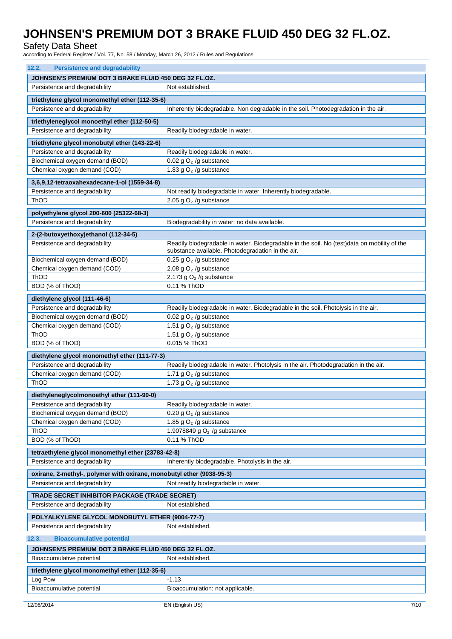Safety Data Sheet

according to Federal Register / Vol. 77, No. 58 / Monday, March 26, 2012 / Rules and Regulations

| 12.2.<br><b>Persistence and degradability</b>                         |                                                                                             |  |
|-----------------------------------------------------------------------|---------------------------------------------------------------------------------------------|--|
| JOHNSEN'S PREMIUM DOT 3 BRAKE FLUID 450 DEG 32 FL.OZ.                 |                                                                                             |  |
| Persistence and degradability                                         | Not established.                                                                            |  |
| triethylene glycol monomethyl ether (112-35-6)                        |                                                                                             |  |
| Persistence and degradability                                         | Inherently biodegradable. Non degradable in the soil. Photodegradation in the air.          |  |
|                                                                       |                                                                                             |  |
| triethyleneglycol monoethyl ether (112-50-5)                          |                                                                                             |  |
| Persistence and degradability                                         | Readily biodegradable in water.                                                             |  |
| triethylene glycol monobutyl ether (143-22-6)                         |                                                                                             |  |
| Persistence and degradability                                         | Readily biodegradable in water.                                                             |  |
| Biochemical oxygen demand (BOD)                                       | 0.02 g $O2$ /g substance                                                                    |  |
| Chemical oxygen demand (COD)                                          | 1.83 g $O2$ /g substance                                                                    |  |
| 3,6,9,12-tetraoxahexadecane-1-ol (1559-34-8)                          |                                                                                             |  |
| Persistence and degradability                                         | Not readily biodegradable in water. Inherently biodegradable.                               |  |
| ThOD                                                                  | 2.05 g $O2$ /g substance                                                                    |  |
| polyethylene glycol 200-600 (25322-68-3)                              |                                                                                             |  |
| Persistence and degradability                                         | Biodegradability in water: no data available.                                               |  |
| 2-(2-butoxyethoxy)ethanol (112-34-5)                                  |                                                                                             |  |
| Persistence and degradability                                         | Readily biodegradable in water. Biodegradable in the soil. No (test)data on mobility of the |  |
|                                                                       | substance available. Photodegradation in the air.                                           |  |
| Biochemical oxygen demand (BOD)                                       | 0.25 g $O2$ /g substance                                                                    |  |
| Chemical oxygen demand (COD)                                          | 2.08 g $O2$ /g substance                                                                    |  |
| ThOD                                                                  | 2.173 g $O2$ /g substance                                                                   |  |
| BOD (% of ThOD)                                                       | 0.11 % ThOD                                                                                 |  |
| diethylene glycol (111-46-6)                                          |                                                                                             |  |
| Persistence and degradability                                         | Readily biodegradable in water. Biodegradable in the soil. Photolysis in the air.           |  |
| Biochemical oxygen demand (BOD)                                       | 0.02 g $O2$ /g substance                                                                    |  |
| Chemical oxygen demand (COD)                                          | 1.51 g $O2$ /g substance                                                                    |  |
| ThOD                                                                  | 1.51 g $O2$ /g substance                                                                    |  |
| BOD (% of ThOD)                                                       | 0.015 % ThOD                                                                                |  |
| diethylene glycol monomethyl ether (111-77-3)                         |                                                                                             |  |
| Persistence and degradability                                         | Readily biodegradable in water. Photolysis in the air. Photodegradation in the air.         |  |
| Chemical oxygen demand (COD)                                          | 1.71 g $O2$ /g substance                                                                    |  |
| ThOD                                                                  | 1.73 g $O2$ /g substance                                                                    |  |
| diethyleneglycolmonoethyl ether (111-90-0)                            |                                                                                             |  |
| Persistence and degradability                                         | Readily biodegradable in water.                                                             |  |
| Biochemical oxygen demand (BOD)                                       | 0.20 g $O2$ /g substance                                                                    |  |
| Chemical oxygen demand (COD)                                          | 1.85 g $O2$ /g substance                                                                    |  |
| ThOD                                                                  | 1.9078849 g $O2$ /g substance                                                               |  |
| BOD (% of ThOD)                                                       | 0.11 % ThOD                                                                                 |  |
| tetraethylene glycol monomethyl ether (23783-42-8)                    |                                                                                             |  |
| Persistence and degradability                                         | Inherently biodegradable. Photolysis in the air.                                            |  |
| oxirane, 2-methyl-, polymer with oxirane, monobutyl ether (9038-95-3) |                                                                                             |  |
| Persistence and degradability                                         | Not readily biodegradable in water.                                                         |  |
|                                                                       |                                                                                             |  |
| TRADE SECRET INHIBITOR PACKAGE (TRADE SECRET)                         |                                                                                             |  |
| Persistence and degradability                                         | Not established.                                                                            |  |
| POLYALKYLENE GLYCOL MONOBUTYL ETHER (9004-77-7)                       |                                                                                             |  |
| Persistence and degradability                                         | Not established.                                                                            |  |
| 12.3.<br><b>Bioaccumulative potential</b>                             |                                                                                             |  |
| JOHNSEN'S PREMIUM DOT 3 BRAKE FLUID 450 DEG 32 FL.OZ.                 |                                                                                             |  |
| Bioaccumulative potential                                             | Not established.                                                                            |  |
| triethylene glycol monomethyl ether (112-35-6)                        |                                                                                             |  |
| Log Pow                                                               | $-1.13$                                                                                     |  |
| Bioaccumulative potential                                             | Bioaccumulation: not applicable.                                                            |  |
|                                                                       |                                                                                             |  |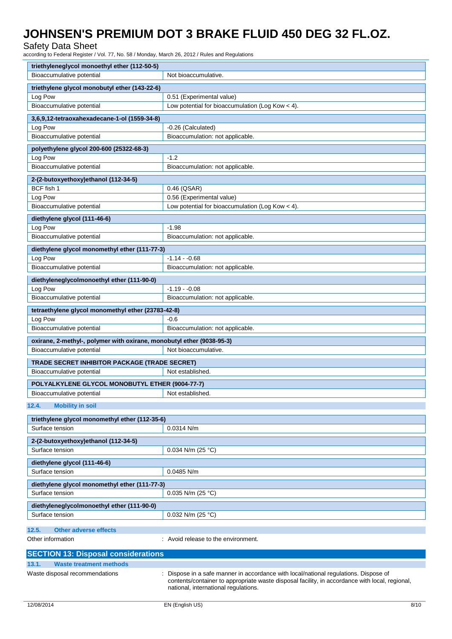Safety Data Sheet

according to Federal Register / Vol. 77, No. 58 / Monday, March 26, 2012 / Rules and Regulations

| triethyleneglycol monoethyl ether (112-50-5)                          |                                                                                                                                                                                                                              |  |
|-----------------------------------------------------------------------|------------------------------------------------------------------------------------------------------------------------------------------------------------------------------------------------------------------------------|--|
| Bioaccumulative potential                                             | Not bioaccumulative.                                                                                                                                                                                                         |  |
| triethylene glycol monobutyl ether (143-22-6)                         |                                                                                                                                                                                                                              |  |
| Log Pow                                                               | 0.51 (Experimental value)                                                                                                                                                                                                    |  |
| Bioaccumulative potential                                             | Low potential for bioaccumulation (Log Kow < 4).                                                                                                                                                                             |  |
| 3,6,9,12-tetraoxahexadecane-1-ol (1559-34-8)                          |                                                                                                                                                                                                                              |  |
| Log Pow                                                               | -0.26 (Calculated)                                                                                                                                                                                                           |  |
| Bioaccumulative potential                                             | Bioaccumulation: not applicable.                                                                                                                                                                                             |  |
| polyethylene glycol 200-600 (25322-68-3)                              |                                                                                                                                                                                                                              |  |
| Log Pow                                                               | $-1.2$                                                                                                                                                                                                                       |  |
| Bioaccumulative potential                                             | Bioaccumulation: not applicable.                                                                                                                                                                                             |  |
|                                                                       |                                                                                                                                                                                                                              |  |
| 2-(2-butoxyethoxy)ethanol (112-34-5)                                  |                                                                                                                                                                                                                              |  |
| BCF fish 1                                                            | 0.46 (QSAR)                                                                                                                                                                                                                  |  |
| Log Pow<br>Bioaccumulative potential                                  | 0.56 (Experimental value)<br>Low potential for bioaccumulation (Log Kow < 4).                                                                                                                                                |  |
|                                                                       |                                                                                                                                                                                                                              |  |
| diethylene glycol (111-46-6)                                          |                                                                                                                                                                                                                              |  |
| Log Pow                                                               | $-1.98$                                                                                                                                                                                                                      |  |
| Bioaccumulative potential                                             | Bioaccumulation: not applicable.                                                                                                                                                                                             |  |
| diethylene glycol monomethyl ether (111-77-3)                         |                                                                                                                                                                                                                              |  |
| Log Pow                                                               | $-1.14 - 0.68$                                                                                                                                                                                                               |  |
| Bioaccumulative potential                                             | Bioaccumulation: not applicable.                                                                                                                                                                                             |  |
| diethyleneglycolmonoethyl ether (111-90-0)                            |                                                                                                                                                                                                                              |  |
| Log Pow                                                               | $-1.19 - 0.08$                                                                                                                                                                                                               |  |
| Bioaccumulative potential                                             | Bioaccumulation: not applicable.                                                                                                                                                                                             |  |
| tetraethylene glycol monomethyl ether (23783-42-8)                    |                                                                                                                                                                                                                              |  |
| Log Pow                                                               | -0.6                                                                                                                                                                                                                         |  |
| Bioaccumulative potential                                             | Bioaccumulation: not applicable.                                                                                                                                                                                             |  |
| oxirane, 2-methyl-, polymer with oxirane, monobutyl ether (9038-95-3) |                                                                                                                                                                                                                              |  |
| Bioaccumulative potential                                             | Not bioaccumulative.                                                                                                                                                                                                         |  |
|                                                                       |                                                                                                                                                                                                                              |  |
| TRADE SECRET INHIBITOR PACKAGE (TRADE SECRET)                         |                                                                                                                                                                                                                              |  |
| Bioaccumulative potential                                             | Not established.                                                                                                                                                                                                             |  |
| POLYALKYLENE GLYCOL MONOBUTYL ETHER (9004-77-7)                       |                                                                                                                                                                                                                              |  |
| Bioaccumulative potential                                             | Not established.                                                                                                                                                                                                             |  |
| 12.4.<br><b>Mobility in soil</b>                                      |                                                                                                                                                                                                                              |  |
|                                                                       |                                                                                                                                                                                                                              |  |
| triethylene glycol monomethyl ether (112-35-6)                        |                                                                                                                                                                                                                              |  |
| Surface tension                                                       | $0.0314$ N/m                                                                                                                                                                                                                 |  |
| 2-(2-butoxyethoxy)ethanol (112-34-5)                                  |                                                                                                                                                                                                                              |  |
| Surface tension                                                       | 0.034 N/m (25 °C)                                                                                                                                                                                                            |  |
| diethylene glycol (111-46-6)                                          |                                                                                                                                                                                                                              |  |
| Surface tension                                                       | 0.0485 N/m                                                                                                                                                                                                                   |  |
| diethylene glycol monomethyl ether (111-77-3)                         |                                                                                                                                                                                                                              |  |
| Surface tension                                                       | 0.035 N/m (25 °C)                                                                                                                                                                                                            |  |
|                                                                       |                                                                                                                                                                                                                              |  |
| diethyleneglycolmonoethyl ether (111-90-0)<br>Surface tension         | 0.032 N/m (25 $^{\circ}$ C)                                                                                                                                                                                                  |  |
|                                                                       |                                                                                                                                                                                                                              |  |
| <b>Other adverse effects</b><br>12.5.                                 |                                                                                                                                                                                                                              |  |
| Other information                                                     | : Avoid release to the environment.                                                                                                                                                                                          |  |
|                                                                       |                                                                                                                                                                                                                              |  |
| <b>SECTION 13: Disposal considerations</b>                            |                                                                                                                                                                                                                              |  |
| 13.1.<br><b>Waste treatment methods</b>                               |                                                                                                                                                                                                                              |  |
| Waste disposal recommendations                                        | Dispose in a safe manner in accordance with local/national regulations. Dispose of<br>contents/container to appropriate waste disposal facility, in accordance with local, regional,<br>national, international regulations. |  |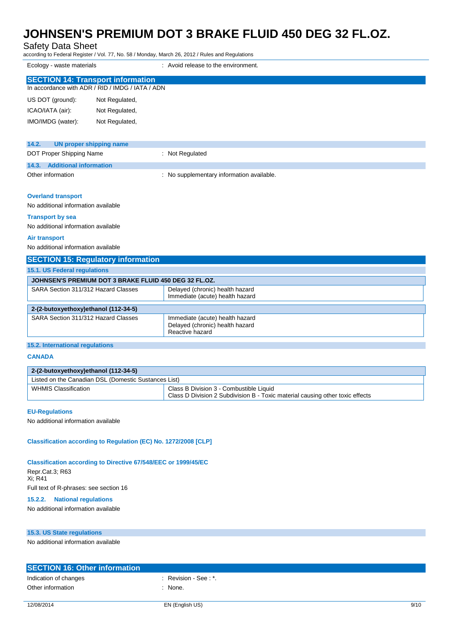Safety Data Sheet

according to Federal Register / Vol. 77, No. 58 / Monday, March 26, 2012 / Rules and Regulations

Ecology - waste materials **Example 20** and the environment.

| <b>SECTION 14: Transport information</b> | In accordance with ADR / RID / IMDG / IATA / ADN |
|------------------------------------------|--------------------------------------------------|
| US DOT (ground):                         | Not Regulated,                                   |
| ICAO/IATA (air):                         | Not Regulated,                                   |
| IMO/IMDG (water):                        | Not Regulated,                                   |

| 14.2.<br>UN proper shipping name |                                           |
|----------------------------------|-------------------------------------------|
| DOT Proper Shipping Name         | : Not Regulated                           |
| 14.3. Additional information     |                                           |
| Other information                | : No supplementary information available. |

#### **Overland transport**

No additional information available

#### **Transport by sea**

No additional information available

#### **Air transport**

No additional information available

| <b>SECTION 15: Regulatory information</b>             |                                                                                       |  |
|-------------------------------------------------------|---------------------------------------------------------------------------------------|--|
| <b>15.1. US Federal regulations</b>                   |                                                                                       |  |
| JOHNSEN'S PREMIUM DOT 3 BRAKE FLUID 450 DEG 32 FL.OZ. |                                                                                       |  |
| SARA Section 311/312 Hazard Classes                   | Delayed (chronic) health hazard<br>Immediate (acute) health hazard                    |  |
| 2-(2-butoxyethoxy)ethanol (112-34-5)                  |                                                                                       |  |
| SARA Section 311/312 Hazard Classes                   | Immediate (acute) health hazard<br>Delayed (chronic) health hazard<br>Reactive hazard |  |

# **15.2. International regulations**

**CANADA**

### **2-(2-butoxyethoxy)ethanol (112-34-5)**

| Listed on the Canadian DSL (Domestic Sustances List) |                                                                                                                          |
|------------------------------------------------------|--------------------------------------------------------------------------------------------------------------------------|
| <b>WHMIS Classification</b>                          | Class B Division 3 - Combustible Liquid<br>Class D Division 2 Subdivision B - Toxic material causing other toxic effects |

### **EU-Regulations**

No additional information available

### **Classification according to Regulation (EC) No. 1272/2008 [CLP]**

#### **Classification according to Directive 67/548/EEC or 1999/45/EC**

Repr.Cat.3; R63 Xi; R41 Full text of R-phrases: see section 16

# **15.2.2. National regulations**

No additional information available

#### **15.3. US State regulations**

No additional information available

| <b>SECTION 16: Other information</b> |                     |
|--------------------------------------|---------------------|
| Indication of changes                | Revision - See : *. |
| Other information                    | : None.             |